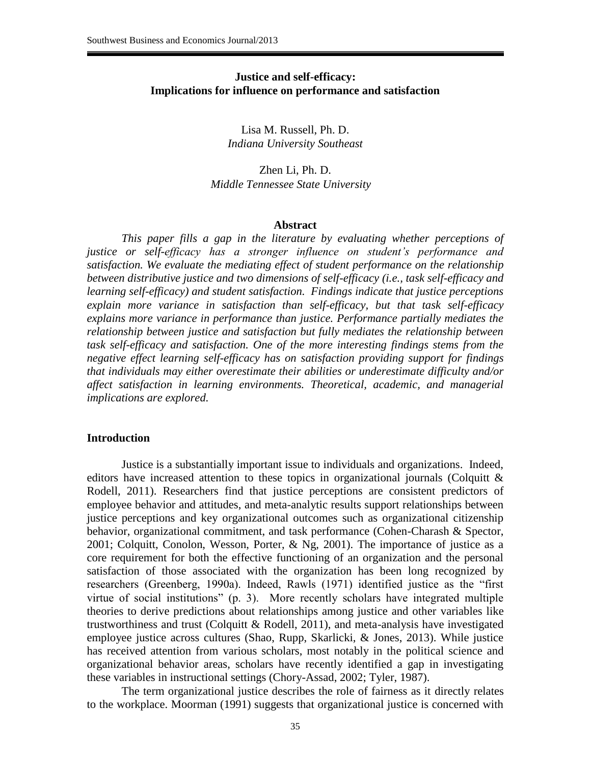#### **Justice and self-efficacy: Implications for influence on performance and satisfaction**

Lisa M. Russell, Ph. D. *Indiana University Southeast*

Zhen Li, Ph. D. *Middle Tennessee State University* 

#### **Abstract**

*This paper fills a gap in the literature by evaluating whether perceptions of justice or self-efficacy has a stronger influence on student's performance and satisfaction. We evaluate the mediating effect of student performance on the relationship between distributive justice and two dimensions of self-efficacy (i.e., task self-efficacy and learning self-efficacy) and student satisfaction. Findings indicate that justice perceptions explain more variance in satisfaction than self-efficacy, but that task self-efficacy explains more variance in performance than justice. Performance partially mediates the relationship between justice and satisfaction but fully mediates the relationship between task self-efficacy and satisfaction. One of the more interesting findings stems from the negative effect learning self-efficacy has on satisfaction providing support for findings that individuals may either overestimate their abilities or underestimate difficulty and/or affect satisfaction in learning environments. Theoretical, academic, and managerial implications are explored.* 

#### **Introduction**

Justice is a substantially important issue to individuals and organizations. Indeed, editors have increased attention to these topics in organizational journals (Colquitt  $\&$ Rodell, 2011). Researchers find that justice perceptions are consistent predictors of employee behavior and attitudes, and meta-analytic results support relationships between justice perceptions and key organizational outcomes such as organizational citizenship behavior, organizational commitment, and task performance (Cohen-Charash & Spector, 2001; Colquitt, Conolon, Wesson, Porter, & Ng, 2001). The importance of justice as a core requirement for both the effective functioning of an organization and the personal satisfaction of those associated with the organization has been long recognized by researchers (Greenberg, 1990a). Indeed, Rawls (1971) identified justice as the "first virtue of social institutions" (p. 3). More recently scholars have integrated multiple theories to derive predictions about relationships among justice and other variables like trustworthiness and trust (Colquitt  $& Rodell, 2011$ ), and meta-analysis have investigated employee justice across cultures (Shao, Rupp, Skarlicki, & Jones, 2013). While justice has received attention from various scholars, most notably in the political science and organizational behavior areas, scholars have recently identified a gap in investigating these variables in instructional settings (Chory-Assad, 2002; Tyler, 1987).

The term organizational justice describes the role of fairness as it directly relates to the workplace. Moorman (1991) suggests that organizational justice is concerned with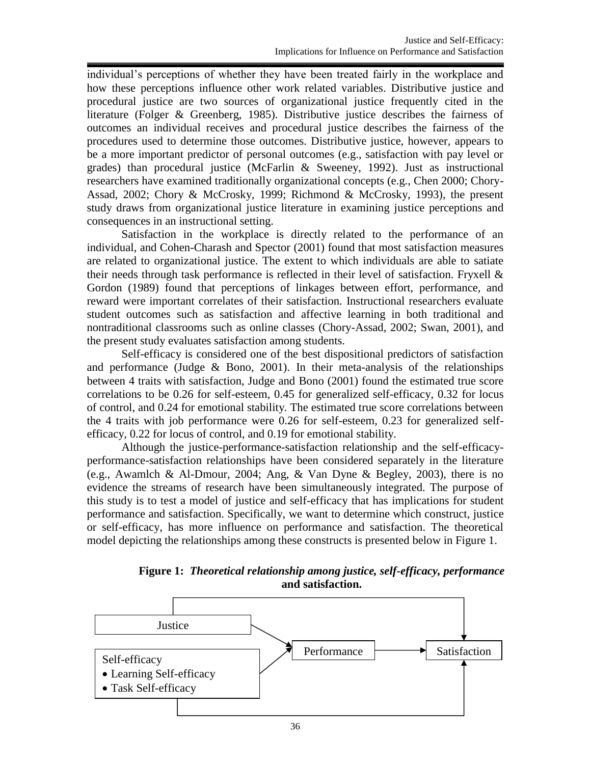individual's perceptions of whether they have been treated fairly in the workplace and how these perceptions influence other work related variables. Distributive justice and procedural justice are two sources of organizational justice frequently cited in the literature (Folger & Greenberg, 1985). Distributive justice describes the fairness of outcomes an individual receives and procedural justice describes the fairness of the procedures used to determine those outcomes. Distributive justice, however, appears to be a more important predictor of personal outcomes (e.g., satisfaction with pay level or grades) than procedural justice (McFarlin & Sweeney, 1992). Just as instructional researchers have examined traditionally organizational concepts (e.g., Chen 2000; Chory-Assad, 2002; Chory & McCrosky, 1999; Richmond & McCrosky, 1993), the present study draws from organizational justice literature in examining justice perceptions and consequences in an instructional setting.

Satisfaction in the workplace is directly related to the performance of an individual, and Cohen-Charash and Spector (2001) found that most satisfaction measures are related to organizational justice. The extent to which individuals are able to satiate their needs through task performance is reflected in their level of satisfaction. Fryxell & Gordon (1989) found that perceptions of linkages between effort, performance, and reward were important correlates of their satisfaction. Instructional researchers evaluate student outcomes such as satisfaction and affective learning in both traditional and nontraditional classrooms such as online classes (Chory-Assad, 2002; Swan, 2001), and the present study evaluates satisfaction among students.

Self-efficacy is considered one of the best dispositional predictors of satisfaction and performance (Judge  $& Bono, 2001$ ). In their meta-analysis of the relationships between 4 traits with satisfaction, Judge and Bono (2001) found the estimated true score correlations to be 0.26 for self-esteem, 0.45 for generalized self-efficacy, 0.32 for locus of control, and 0.24 for emotional stability. The estimated true score correlations between the 4 traits with job performance were 0.26 for self-esteem, 0.23 for generalized selfefficacy, 0.22 for locus of control, and 0.19 for emotional stability.

Although the justice-performance-satisfaction relationship and the self-efficacyperformance-satisfaction relationships have been considered separately in the literature (e.g., Awamlch & Al-Dmour, 2004; Ang, & Van Dyne & Begley, 2003), there is no evidence the streams of research have been simultaneously integrated. The purpose of this study is to test a model of justice and self-efficacy that has implications for student performance and satisfaction. Specifically, we want to determine which construct, justice or self-efficacy, has more influence on performance and satisfaction. The theoretical model depicting the relationships among these constructs is presented below in Figure 1.

**Figure 1:** *Theoretical relationship among justice, self-efficacy, performance* **and satisfaction.**

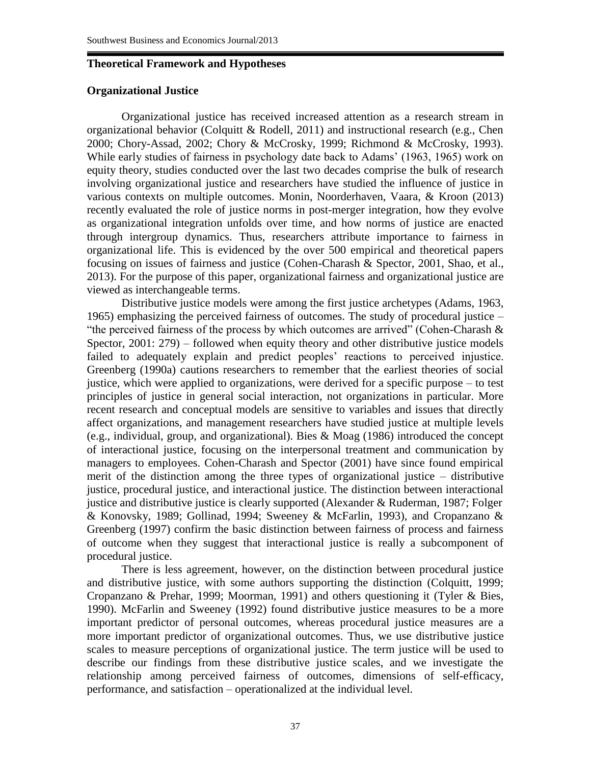## **Theoretical Framework and Hypotheses**

## **Organizational Justice**

Organizational justice has received increased attention as a research stream in organizational behavior (Colquitt & Rodell, 2011) and instructional research (e.g., Chen 2000; Chory-Assad, 2002; Chory & McCrosky, 1999; Richmond & McCrosky, 1993). While early studies of fairness in psychology date back to Adams' (1963, 1965) work on equity theory, studies conducted over the last two decades comprise the bulk of research involving organizational justice and researchers have studied the influence of justice in various contexts on multiple outcomes. Monin, Noorderhaven, Vaara, & Kroon (2013) recently evaluated the role of justice norms in post-merger integration, how they evolve as organizational integration unfolds over time, and how norms of justice are enacted through intergroup dynamics. Thus, researchers attribute importance to fairness in organizational life. This is evidenced by the over 500 empirical and theoretical papers focusing on issues of fairness and justice (Cohen-Charash & Spector, 2001, Shao, et al., 2013). For the purpose of this paper, organizational fairness and organizational justice are viewed as interchangeable terms.

Distributive justice models were among the first justice archetypes (Adams, 1963, 1965) emphasizing the perceived fairness of outcomes. The study of procedural justice – "the perceived fairness of the process by which outcomes are arrived" (Cohen-Charash  $\&$ Spector, 2001: 279) – followed when equity theory and other distributive justice models failed to adequately explain and predict peoples' reactions to perceived injustice. Greenberg (1990a) cautions researchers to remember that the earliest theories of social justice, which were applied to organizations, were derived for a specific purpose – to test principles of justice in general social interaction, not organizations in particular. More recent research and conceptual models are sensitive to variables and issues that directly affect organizations, and management researchers have studied justice at multiple levels (e.g., individual, group, and organizational). Bies & Moag (1986) introduced the concept of interactional justice, focusing on the interpersonal treatment and communication by managers to employees. Cohen-Charash and Spector (2001) have since found empirical merit of the distinction among the three types of organizational justice – distributive justice, procedural justice, and interactional justice. The distinction between interactional justice and distributive justice is clearly supported (Alexander & Ruderman, 1987; Folger & Konovsky, 1989; Gollinad, 1994; Sweeney & McFarlin, 1993), and Cropanzano & Greenberg (1997) confirm the basic distinction between fairness of process and fairness of outcome when they suggest that interactional justice is really a subcomponent of procedural justice.

There is less agreement, however, on the distinction between procedural justice and distributive justice, with some authors supporting the distinction (Colquitt, 1999; Cropanzano & Prehar, 1999; Moorman, 1991) and others questioning it (Tyler & Bies, 1990). McFarlin and Sweeney (1992) found distributive justice measures to be a more important predictor of personal outcomes, whereas procedural justice measures are a more important predictor of organizational outcomes. Thus, we use distributive justice scales to measure perceptions of organizational justice. The term justice will be used to describe our findings from these distributive justice scales, and we investigate the relationship among perceived fairness of outcomes, dimensions of self-efficacy, performance, and satisfaction – operationalized at the individual level.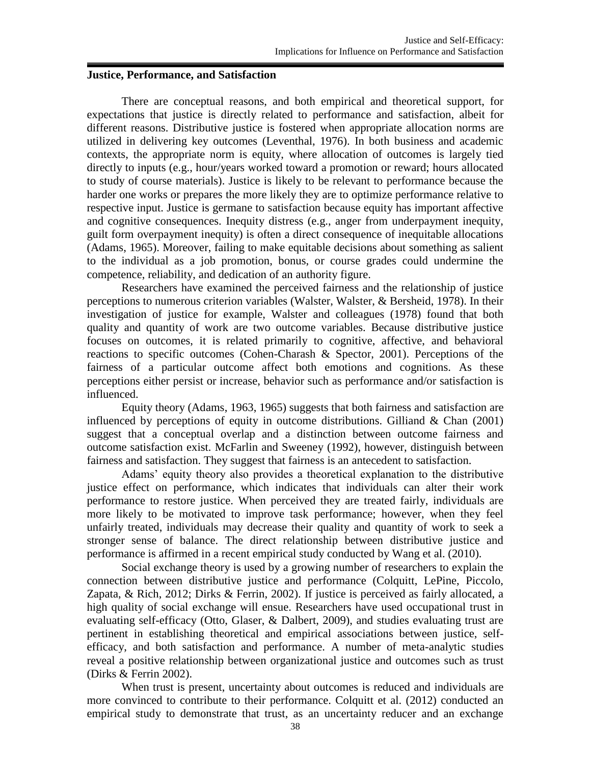#### **Justice, Performance, and Satisfaction**

There are conceptual reasons, and both empirical and theoretical support, for expectations that justice is directly related to performance and satisfaction, albeit for different reasons. Distributive justice is fostered when appropriate allocation norms are utilized in delivering key outcomes (Leventhal, 1976). In both business and academic contexts, the appropriate norm is equity, where allocation of outcomes is largely tied directly to inputs (e.g., hour/years worked toward a promotion or reward; hours allocated to study of course materials). Justice is likely to be relevant to performance because the harder one works or prepares the more likely they are to optimize performance relative to respective input. Justice is germane to satisfaction because equity has important affective and cognitive consequences. Inequity distress (e.g., anger from underpayment inequity, guilt form overpayment inequity) is often a direct consequence of inequitable allocations (Adams, 1965). Moreover, failing to make equitable decisions about something as salient to the individual as a job promotion, bonus, or course grades could undermine the competence, reliability, and dedication of an authority figure.

Researchers have examined the perceived fairness and the relationship of justice perceptions to numerous criterion variables (Walster, Walster, & Bersheid, 1978). In their investigation of justice for example, Walster and colleagues (1978) found that both quality and quantity of work are two outcome variables. Because distributive justice focuses on outcomes, it is related primarily to cognitive, affective, and behavioral reactions to specific outcomes (Cohen-Charash & Spector, 2001). Perceptions of the fairness of a particular outcome affect both emotions and cognitions. As these perceptions either persist or increase, behavior such as performance and/or satisfaction is influenced.

Equity theory (Adams, 1963, 1965) suggests that both fairness and satisfaction are influenced by perceptions of equity in outcome distributions. Gilliand  $& Chan (2001)$ suggest that a conceptual overlap and a distinction between outcome fairness and outcome satisfaction exist. McFarlin and Sweeney (1992), however, distinguish between fairness and satisfaction. They suggest that fairness is an antecedent to satisfaction.

Adams' equity theory also provides a theoretical explanation to the distributive justice effect on performance, which indicates that individuals can alter their work performance to restore justice. When perceived they are treated fairly, individuals are more likely to be motivated to improve task performance; however, when they feel unfairly treated, individuals may decrease their quality and quantity of work to seek a stronger sense of balance. The direct relationship between distributive justice and performance is affirmed in a recent empirical study conducted by Wang et al. (2010).

Social exchange theory is used by a growing number of researchers to explain the connection between distributive justice and performance (Colquitt, LePine, Piccolo, Zapata, & Rich, 2012; Dirks & Ferrin, 2002). If justice is perceived as fairly allocated, a high quality of social exchange will ensue. Researchers have used occupational trust in evaluating self-efficacy (Otto, Glaser, & Dalbert, 2009), and studies evaluating trust are pertinent in establishing theoretical and empirical associations between justice, selfefficacy, and both satisfaction and performance. A number of meta-analytic studies reveal a positive relationship between organizational justice and outcomes such as trust (Dirks & Ferrin 2002).

When trust is present, uncertainty about outcomes is reduced and individuals are more convinced to contribute to their performance. Colquitt et al. (2012) conducted an empirical study to demonstrate that trust, as an uncertainty reducer and an exchange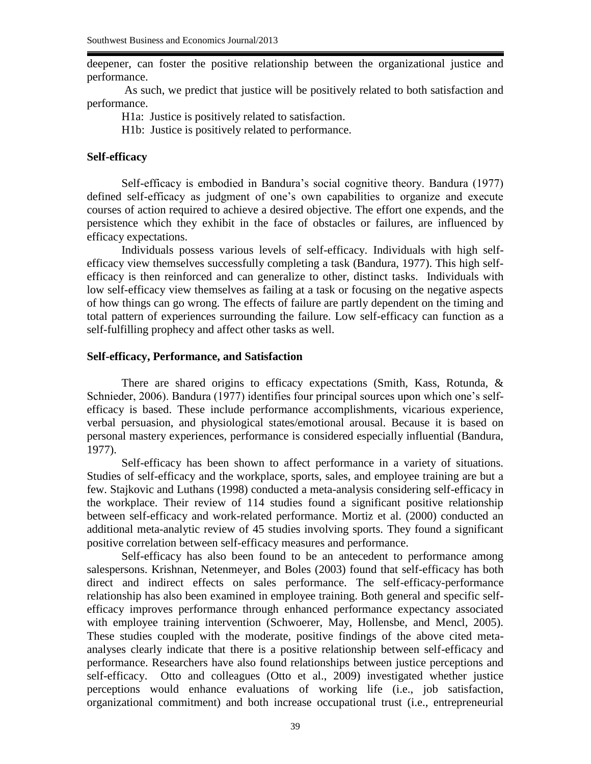deepener, can foster the positive relationship between the organizational justice and performance.

As such, we predict that justice will be positively related to both satisfaction and performance.

H1a: Justice is positively related to satisfaction.

H1b: Justice is positively related to performance.

## **Self-efficacy**

Self-efficacy is embodied in Bandura's social cognitive theory. Bandura (1977) defined self-efficacy as judgment of one's own capabilities to organize and execute courses of action required to achieve a desired objective. The effort one expends, and the persistence which they exhibit in the face of obstacles or failures, are influenced by efficacy expectations.

Individuals possess various levels of self-efficacy. Individuals with high selfefficacy view themselves successfully completing a task (Bandura, 1977). This high selfefficacy is then reinforced and can generalize to other, distinct tasks. Individuals with low self-efficacy view themselves as failing at a task or focusing on the negative aspects of how things can go wrong. The effects of failure are partly dependent on the timing and total pattern of experiences surrounding the failure. Low self-efficacy can function as a self-fulfilling prophecy and affect other tasks as well.

## **Self-efficacy, Performance, and Satisfaction**

There are shared origins to efficacy expectations (Smith, Kass, Rotunda, & Schnieder, 2006). Bandura (1977) identifies four principal sources upon which one's selfefficacy is based. These include performance accomplishments, vicarious experience, verbal persuasion, and physiological states/emotional arousal. Because it is based on personal mastery experiences, performance is considered especially influential (Bandura, 1977).

Self-efficacy has been shown to affect performance in a variety of situations. Studies of self-efficacy and the workplace, sports, sales, and employee training are but a few. Stajkovic and Luthans (1998) conducted a meta-analysis considering self-efficacy in the workplace. Their review of 114 studies found a significant positive relationship between self-efficacy and work-related performance. Mortiz et al. (2000) conducted an additional meta-analytic review of 45 studies involving sports. They found a significant positive correlation between self-efficacy measures and performance.

Self-efficacy has also been found to be an antecedent to performance among salespersons. Krishnan, Netenmeyer, and Boles (2003) found that self-efficacy has both direct and indirect effects on sales performance. The self-efficacy-performance relationship has also been examined in employee training. Both general and specific selfefficacy improves performance through enhanced performance expectancy associated with employee training intervention (Schwoerer, May, Hollensbe, and Mencl, 2005). These studies coupled with the moderate, positive findings of the above cited metaanalyses clearly indicate that there is a positive relationship between self-efficacy and performance. Researchers have also found relationships between justice perceptions and self-efficacy. Otto and colleagues (Otto et al., 2009) investigated whether justice perceptions would enhance evaluations of working life (i.e., job satisfaction, organizational commitment) and both increase occupational trust (i.e., entrepreneurial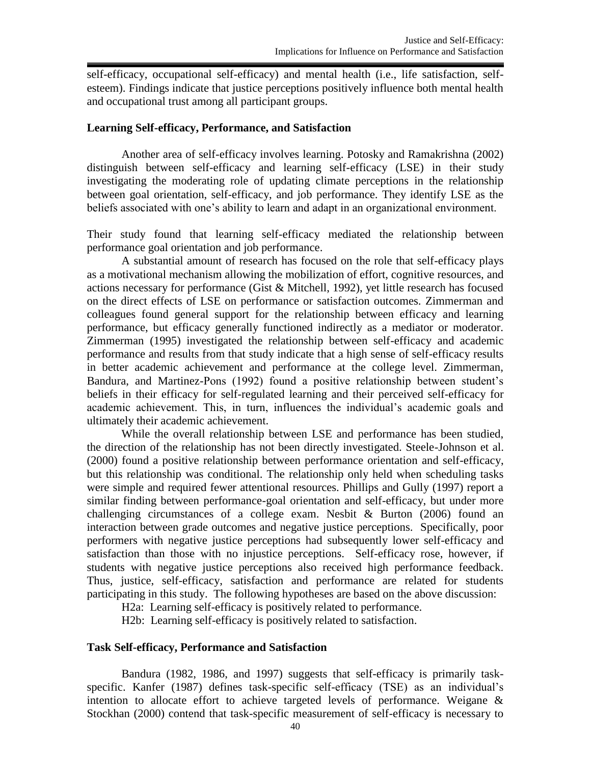self-efficacy, occupational self-efficacy) and mental health (i.e., life satisfaction, selfesteem). Findings indicate that justice perceptions positively influence both mental health and occupational trust among all participant groups.

#### **Learning Self-efficacy, Performance, and Satisfaction**

Another area of self-efficacy involves learning. Potosky and Ramakrishna (2002) distinguish between self-efficacy and learning self-efficacy (LSE) in their study investigating the moderating role of updating climate perceptions in the relationship between goal orientation, self-efficacy, and job performance. They identify LSE as the beliefs associated with one's ability to learn and adapt in an organizational environment.

Their study found that learning self-efficacy mediated the relationship between performance goal orientation and job performance.

A substantial amount of research has focused on the role that self-efficacy plays as a motivational mechanism allowing the mobilization of effort, cognitive resources, and actions necessary for performance (Gist & Mitchell, 1992), yet little research has focused on the direct effects of LSE on performance or satisfaction outcomes. Zimmerman and colleagues found general support for the relationship between efficacy and learning performance, but efficacy generally functioned indirectly as a mediator or moderator. Zimmerman (1995) investigated the relationship between self-efficacy and academic performance and results from that study indicate that a high sense of self-efficacy results in better academic achievement and performance at the college level. Zimmerman, Bandura, and Martinez-Pons (1992) found a positive relationship between student's beliefs in their efficacy for self-regulated learning and their perceived self-efficacy for academic achievement. This, in turn, influences the individual's academic goals and ultimately their academic achievement.

While the overall relationship between LSE and performance has been studied, the direction of the relationship has not been directly investigated. Steele-Johnson et al. (2000) found a positive relationship between performance orientation and self-efficacy, but this relationship was conditional. The relationship only held when scheduling tasks were simple and required fewer attentional resources. Phillips and Gully (1997) report a similar finding between performance-goal orientation and self-efficacy, but under more challenging circumstances of a college exam. Nesbit  $& Burton (2006) found an$ interaction between grade outcomes and negative justice perceptions. Specifically, poor performers with negative justice perceptions had subsequently lower self-efficacy and satisfaction than those with no injustice perceptions. Self-efficacy rose, however, if students with negative justice perceptions also received high performance feedback. Thus, justice, self-efficacy, satisfaction and performance are related for students participating in this study. The following hypotheses are based on the above discussion:

H2a: Learning self-efficacy is positively related to performance.

H2b: Learning self-efficacy is positively related to satisfaction.

#### **Task Self-efficacy, Performance and Satisfaction**

Bandura (1982, 1986, and 1997) suggests that self-efficacy is primarily taskspecific. Kanfer (1987) defines task-specific self-efficacy (TSE) as an individual's intention to allocate effort to achieve targeted levels of performance. Weigane & Stockhan (2000) contend that task-specific measurement of self-efficacy is necessary to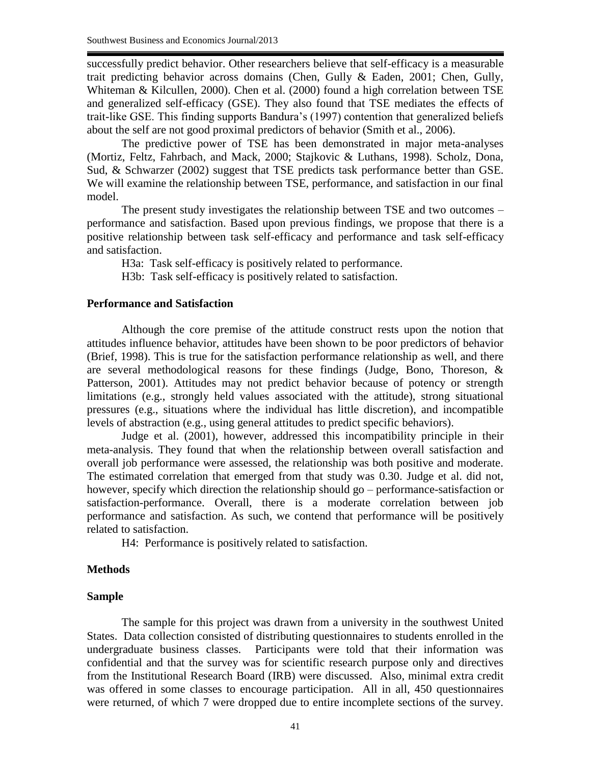successfully predict behavior. Other researchers believe that self-efficacy is a measurable trait predicting behavior across domains (Chen, Gully & Eaden, 2001; Chen, Gully, Whiteman & Kilcullen, 2000). Chen et al. (2000) found a high correlation between TSE and generalized self-efficacy (GSE). They also found that TSE mediates the effects of trait-like GSE. This finding supports Bandura's (1997) contention that generalized beliefs about the self are not good proximal predictors of behavior (Smith et al., 2006).

The predictive power of TSE has been demonstrated in major meta-analyses (Mortiz, Feltz, Fahrbach, and Mack, 2000; Stajkovic & Luthans, 1998). Scholz, Dona, Sud, & Schwarzer (2002) suggest that TSE predicts task performance better than GSE. We will examine the relationship between TSE, performance, and satisfaction in our final model.

The present study investigates the relationship between TSE and two outcomes – performance and satisfaction. Based upon previous findings, we propose that there is a positive relationship between task self-efficacy and performance and task self-efficacy and satisfaction.

H3a: Task self-efficacy is positively related to performance.

H3b: Task self-efficacy is positively related to satisfaction.

#### **Performance and Satisfaction**

Although the core premise of the attitude construct rests upon the notion that attitudes influence behavior, attitudes have been shown to be poor predictors of behavior (Brief, 1998). This is true for the satisfaction performance relationship as well, and there are several methodological reasons for these findings (Judge, Bono, Thoreson, & Patterson, 2001). Attitudes may not predict behavior because of potency or strength limitations (e.g., strongly held values associated with the attitude), strong situational pressures (e.g., situations where the individual has little discretion), and incompatible levels of abstraction (e.g., using general attitudes to predict specific behaviors).

Judge et al. (2001), however, addressed this incompatibility principle in their meta-analysis. They found that when the relationship between overall satisfaction and overall job performance were assessed, the relationship was both positive and moderate. The estimated correlation that emerged from that study was 0.30. Judge et al. did not, however, specify which direction the relationship should go – performance-satisfaction or satisfaction-performance. Overall, there is a moderate correlation between job performance and satisfaction. As such, we contend that performance will be positively related to satisfaction.

H4: Performance is positively related to satisfaction.

#### **Methods**

#### **Sample**

The sample for this project was drawn from a university in the southwest United States. Data collection consisted of distributing questionnaires to students enrolled in the undergraduate business classes. Participants were told that their information was confidential and that the survey was for scientific research purpose only and directives from the Institutional Research Board (IRB) were discussed. Also, minimal extra credit was offered in some classes to encourage participation. All in all, 450 questionnaires were returned, of which 7 were dropped due to entire incomplete sections of the survey.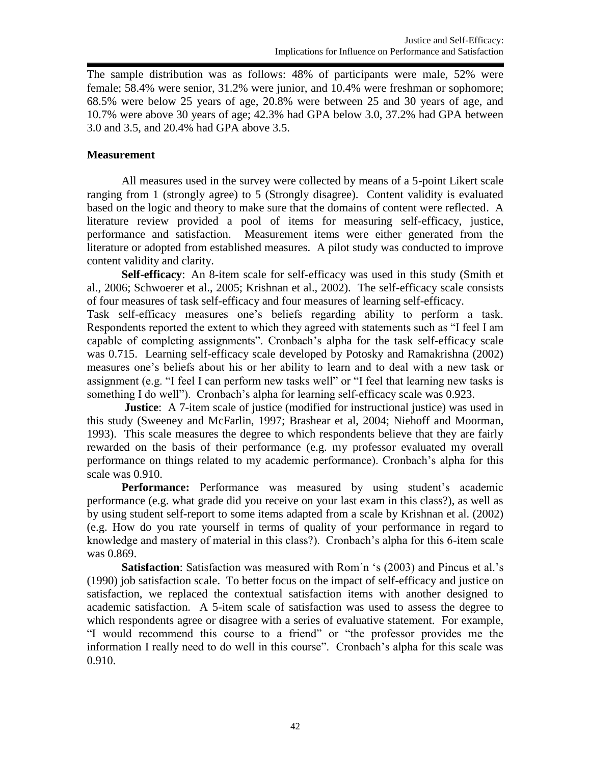The sample distribution was as follows: 48% of participants were male, 52% were female; 58.4% were senior, 31.2% were junior, and 10.4% were freshman or sophomore; 68.5% were below 25 years of age, 20.8% were between 25 and 30 years of age, and 10.7% were above 30 years of age; 42.3% had GPA below 3.0, 37.2% had GPA between 3.0 and 3.5, and 20.4% had GPA above 3.5.

## **Measurement**

All measures used in the survey were collected by means of a 5-point Likert scale ranging from 1 (strongly agree) to 5 (Strongly disagree). Content validity is evaluated based on the logic and theory to make sure that the domains of content were reflected. A literature review provided a pool of items for measuring self-efficacy, justice, performance and satisfaction. Measurement items were either generated from the literature or adopted from established measures. A pilot study was conducted to improve content validity and clarity.

**Self-efficacy**: An 8-item scale for self-efficacy was used in this study (Smith et al., 2006; Schwoerer et al., 2005; Krishnan et al., 2002). The self-efficacy scale consists of four measures of task self-efficacy and four measures of learning self-efficacy.

Task self-efficacy measures one's beliefs regarding ability to perform a task. Respondents reported the extent to which they agreed with statements such as "I feel I am capable of completing assignments". Cronbach's alpha for the task self-efficacy scale was 0.715. Learning self-efficacy scale developed by Potosky and Ramakrishna (2002) measures one's beliefs about his or her ability to learn and to deal with a new task or assignment (e.g. "I feel I can perform new tasks well" or "I feel that learning new tasks is something I do well"). Cronbach's alpha for learning self-efficacy scale was 0.923.

**Justice**: A 7-item scale of justice (modified for instructional justice) was used in this study (Sweeney and McFarlin, 1997; Brashear et al, 2004; Niehoff and Moorman, 1993). This scale measures the degree to which respondents believe that they are fairly rewarded on the basis of their performance (e.g. my professor evaluated my overall performance on things related to my academic performance). Cronbach's alpha for this scale was 0.910.

**Performance:** Performance was measured by using student's academic performance (e.g. what grade did you receive on your last exam in this class?), as well as by using student self-report to some items adapted from a scale by Krishnan et al. (2002) (e.g. How do you rate yourself in terms of quality of your performance in regard to knowledge and mastery of material in this class?). Cronbach's alpha for this 6-item scale was 0.869.

**Satisfaction**: Satisfaction was measured with Rom´n 's (2003) and Pincus et al.'s (1990) job satisfaction scale. To better focus on the impact of self-efficacy and justice on satisfaction, we replaced the contextual satisfaction items with another designed to academic satisfaction. A 5-item scale of satisfaction was used to assess the degree to which respondents agree or disagree with a series of evaluative statement. For example, "I would recommend this course to a friend" or "the professor provides me the information I really need to do well in this course". Cronbach's alpha for this scale was 0.910.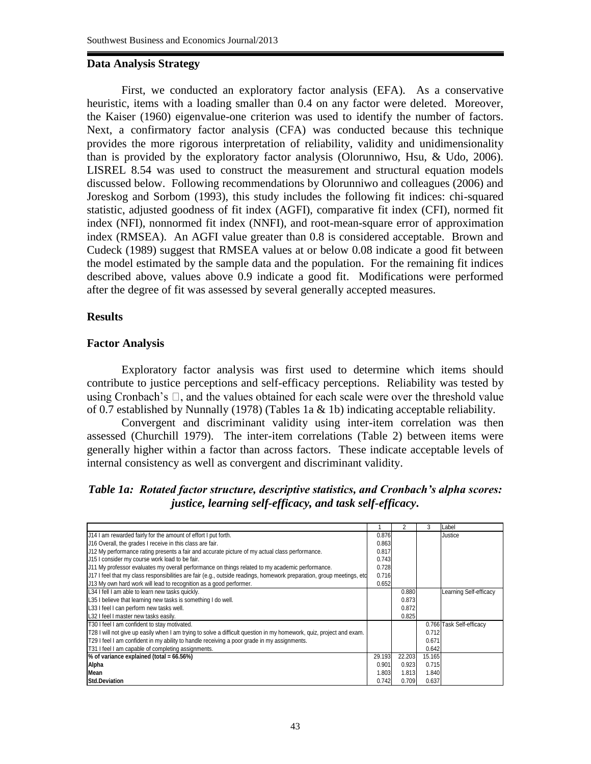## **Data Analysis Strategy**

First, we conducted an exploratory factor analysis (EFA). As a conservative heuristic, items with a loading smaller than 0.4 on any factor were deleted. Moreover, the Kaiser (1960) eigenvalue-one criterion was used to identify the number of factors. Next, a confirmatory factor analysis (CFA) was conducted because this technique provides the more rigorous interpretation of reliability, validity and unidimensionality than is provided by the exploratory factor analysis (Olorunniwo, Hsu, & Udo, 2006). LISREL 8.54 was used to construct the measurement and structural equation models discussed below. Following recommendations by Olorunniwo and colleagues (2006) and Joreskog and Sorbom (1993), this study includes the following fit indices: chi-squared statistic, adjusted goodness of fit index (AGFI), comparative fit index (CFI), normed fit index (NFI), nonnormed fit index (NNFI), and root-mean-square error of approximation index (RMSEA). An AGFI value greater than 0.8 is considered acceptable. Brown and Cudeck (1989) suggest that RMSEA values at or below 0.08 indicate a good fit between the model estimated by the sample data and the population. For the remaining fit indices described above, values above 0.9 indicate a good fit. Modifications were performed after the degree of fit was assessed by several generally accepted measures.

## **Results**

## **Factor Analysis**

Exploratory factor analysis was first used to determine which items should contribute to justice perceptions and self-efficacy perceptions. Reliability was tested by using Cronbach's  $\square$ , and the values obtained for each scale were over the threshold value of 0.7 established by Nunnally (1978) (Tables 1a & 1b) indicating acceptable reliability.

Convergent and discriminant validity using inter-item correlation was then assessed (Churchill 1979). The inter-item correlations (Table 2) between items were generally higher within a factor than across factors. These indicate acceptable levels of internal consistency as well as convergent and discriminant validity.

*Table 1a: Rotated factor structure, descriptive statistics, and Cronbach's alpha scores: justice, learning self-efficacy, and task self-efficacy***.**

|                                                                                                                       |        |        | 3      | Label                    |
|-----------------------------------------------------------------------------------------------------------------------|--------|--------|--------|--------------------------|
| J14 I am rewarded fairly for the amount of effort I put forth.                                                        | 0.876  |        |        | Justice                  |
| J16 Overall, the grades I receive in this class are fair.                                                             | 0.863  |        |        |                          |
| J12 My performance rating presents a fair and accurate picture of my actual class performance.                        | 0.817  |        |        |                          |
| J15 I consider my course work load to be fair.                                                                        | 0.743  |        |        |                          |
| J11 My professor evaluates my overall performance on things related to my academic performance.                       | 0.728  |        |        |                          |
| J17 I feel that my class responsibilities are fair (e.g., outside readings, homework preparation, group meetings, etc | 0.716  |        |        |                          |
| J13 My own hard work will lead to recognition as a good performer.                                                    | 0.652  |        |        |                          |
| L34 I fell I am able to learn new tasks quickly.                                                                      |        | 0.880  |        | Learning Self-efficacy   |
| L35 I believe that learning new tasks is something I do well.                                                         |        | 0.873  |        |                          |
| L33 I feel I can perform new tasks well.                                                                              |        | 0.872  |        |                          |
| L32 I feel I master new tasks easily.                                                                                 |        | 0.825  |        |                          |
| T30 I feel I am confident to stay motivated.                                                                          |        |        |        | 0.766 Task Self-efficacy |
| T28 I will not give up easily when I am trying to solve a difficult question in my homework, quiz, project and exam.  |        |        | 0.712  |                          |
| T29 I feel I am confident in my ability to handle receiving a poor grade in my assignments.                           |        |        | 0.671  |                          |
| T31 I feel I am capable of completing assignments.                                                                    |        |        | 0.642  |                          |
| $%$ of variance explained (total = $66.56\%$ )                                                                        | 29.193 | 22.203 | 15.165 |                          |
| Alpha                                                                                                                 | 0.901  | 0.923  | 0.715  |                          |
| Mean                                                                                                                  | 1.803  | 1.813  | 1.840  |                          |
| <b>Std.Deviation</b>                                                                                                  | 0.742  | 0.709  | 0.637  |                          |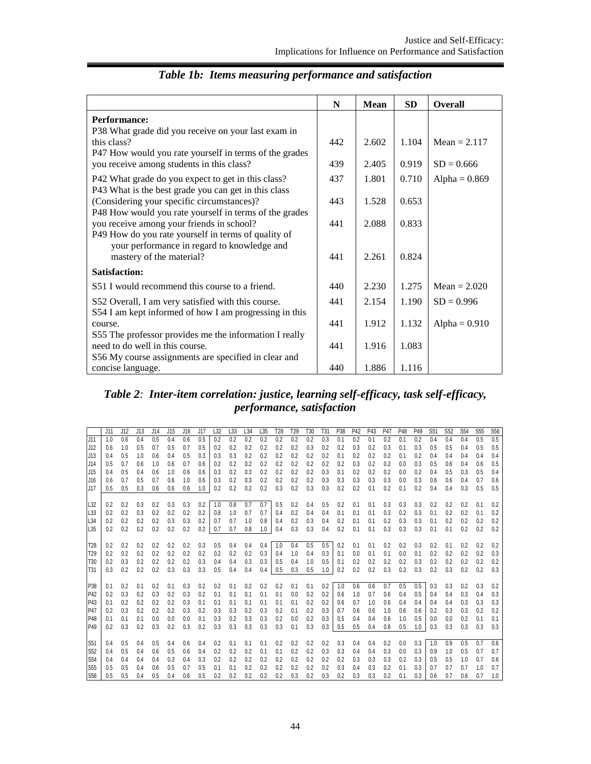|                                                                                                            | N   | <b>Mean</b> | <b>SD</b> | <b>Overall</b>  |
|------------------------------------------------------------------------------------------------------------|-----|-------------|-----------|-----------------|
| <b>Performance:</b><br>P38 What grade did you receive on your last exam in                                 |     |             |           |                 |
| this class?                                                                                                | 442 | 2.602       | 1.104     | Mean = $2.117$  |
| P47 How would you rate yourself in terms of the grades<br>you receive among students in this class?        | 439 | 2.405       | 0.919     | $SD = 0.666$    |
| P42 What grade do you expect to get in this class?<br>P43 What is the best grade you can get in this class | 437 | 1.801       | 0.710     | Alpha = $0.869$ |
| (Considering your specific circumstances)?<br>P48 How would you rate yourself in terms of the grades       | 443 | 1.528       | 0.653     |                 |
| you receive among your friends in school?<br>P49 How do you rate yourself in terms of quality of           | 441 | 2.088       | 0.833     |                 |
| your performance in regard to knowledge and<br>mastery of the material?                                    | 441 | 2.261       | 0.824     |                 |
| <b>Satisfaction:</b>                                                                                       |     |             |           |                 |
| S51 I would recommend this course to a friend.                                                             | 440 | 2.230       | 1.275     | Mean = $2.020$  |
| S52 Overall, I am very satisfied with this course.                                                         | 441 | 2.154       | 1.190     | $SD = 0.996$    |
| S54 I am kept informed of how I am progressing in this<br>course.                                          | 441 | 1.912       | 1.132     | Alpha = $0.910$ |
| S55 The professor provides me the information I really<br>need to do well in this course.                  | 441 | 1.916       | 1.083     |                 |
| S56 My course assignments are specified in clear and<br>concise language.                                  | 440 | 1.886       | 1.116     |                 |

# *Table 1b: Items measuring performance and satisfaction*

*Table 2: Inter-item correlation: justice, learning self-efficacy, task self-efficacy, performance, satisfaction*

|                        | J11        | J12        | J13        | J14        | J15        | J16        | J17        | L32        | L33        | L34        | L35        | T <sub>28</sub> | T <sub>29</sub> | T <sub>30</sub> | T <sub>31</sub> | P38        | P42        | P43        | P47        | P48        | P49        | S <sub>51</sub> | S <sub>52</sub> | S <sub>54</sub> | S <sub>55</sub> | S56        |
|------------------------|------------|------------|------------|------------|------------|------------|------------|------------|------------|------------|------------|-----------------|-----------------|-----------------|-----------------|------------|------------|------------|------------|------------|------------|-----------------|-----------------|-----------------|-----------------|------------|
| J11                    | 1.0        | 0.6        | 0.4        | 0.5        | 0.4        | 0.6        | 0.5        | 0.2        | 0.2        | 0.2        | 0.2        | 0.2             | 0.2             | 0.2             | 0.3             | 0.1        | 0.2        | 0.1        | 0.2        | 0.1        | 0.2        | 0.4             | 0.4             | 0.4             | 0.5             | 0.5        |
| J12                    | 0.6        | 1.0        | 0.5        | 0.7        | 0.5        | 0.7        | 0.5        | 0.2        | 0.2        | 0.2        | 0.2        | 0.2             | 0.2             | 0.3             | 0.2             | 0.2        | 0.3        | 0.2        | 0.3        | 0.1        | 0.3        | 0.5             | 0.5             | 0.4             | 0.5             | 0.5        |
| J13                    | 0.4        | 0.5        | 1.0        | 0.6        | 0.4        | 0.5        | 0.3        | 0.3        | 0.3        | 0.2        | 0.2        | 0.2             | 0.2             | 0.2             | 0.2             | 0.1        | 0.2        | 0.2        | 0.2        | 0.1        | 0.2        | 0.4             | 0.4             | 0.4             | 0.4             | 0.4        |
| J14                    | 0.5        | 0.7        | 0.6        | 1.0        | 0.6        | 0.7        | 0.6        | 0.2        | 0.2        | 0.2        | 0.2        | 0.2             | 0.2             | 0.2             | 0.2             | 0.2        | 0.3        | 0.2        | 0.2        | 0.0        | 0.3        | 0.5             | 0.6             | 0.4             | 0.6             | 0.5        |
| J15                    | 0.4        | 0.5        | 0.4        | 0.6        | 1.0        | 0.6        | 0.6        | 0.3        | 0.2        | 0.3        | 0.2        | 0.2             | 0.2             | 0.2             | 0.3             | 0.1        | 0.2        | 0.2        | 0.2        | 0.0        | 0.2        | 0.4             | 0.5             | 0.3             | 0.5             | 0.4        |
| J16                    | 0.6        | 0.7        | 0.5        | 0.7        | 0.6        | 1.0        | 0.6        | 0.3        | 0.2        | 0.3        | 0.2        | 0.2             | 0.2             | 0.2             | 0.3             | 0.3        | 0.3        | 0.3        | 0.3        | 0.0        | 0.3        | 0.6             | 0.6             | 0.4             | 0.7             | 0.6        |
| J17                    | 0.5        | 0.5        | 0.3        | 0.6        | 0.6        | 0.6        | 1.0        | 0.2        | 0.2        | 0.2        | 0.2        | 0.3             | 0.2             | 0.3             | 0.3             | 0.2        | 0.2        | 0.1        | 0.2        | 0.1        | 0.2        | 0.4             | 0.4             | 0.3             | 0.5             | 0.5        |
|                        |            |            |            |            |            |            |            |            |            |            |            |                 |                 |                 |                 |            |            |            |            |            |            |                 |                 |                 |                 |            |
| L32                    | 0.2        | 0.2        | 0.3        | 0.2        | 0.3        | 0.3        | 0.2        | 1.0        | 0.8        | 0.7        | 0.7        | 0.5             | 0.2             | 0.4             | 0.5             | 0.2        | 0.1        | 0.1        | 0.3        | 0.3        | 0.3        | 0.2             | 0.2             | 0.2             | 0.1             | 0.2        |
| L33                    | 0.2        | 0.2        | 0.3        | 0.2        | 0.2        | 0.2        | 0.2        | 0.8        | 1.0        | 0.7        | 0.7        | 0.4             | 0.2             | 0.4             | 0.4             | 0.1        | 0.1        | 0.1        | 0.3        | 0.2        | 0.3        | 0.1             | 0.2             | 0.2             | 0.1             | 0.2        |
| L34                    | 0.2        | 0.2        | 0.2        | 0.2        | 0.3        | 0.3        | 0.2        | 0.7        | 0.7        | 1.0        | 0.8        | 0.4             | 0.2             | 0.3             | 0.4             | 0.2        | 0.1        | 0.1        | 0.2        | 0.3        | 0.3        | 0.1             | 0.2             | 0.2             | 0.2             | 0.2        |
| L35                    | 0.2        | 0.2        | 0.2        | 0.2        | 0.2        | 0.2        | 0.2        | 0.7        | 0.7        | 0.8        | 1.0        | 0.4             | 0.3             | 0.3             | 0.4             | 0.2        | 0.1        | 0.1        | 0.3        | 0.3        | 0.3        | 0.1             | 0.1             | 0.2             | 0.2             | 0.2        |
|                        |            |            |            |            |            |            |            |            |            |            |            |                 |                 |                 |                 |            |            |            |            |            |            |                 |                 |                 |                 |            |
| T28                    | 0.2        | 0.2        | 0.2        | 0.2        | 0.2        | 0.2        | 0.3        | 0.5        | 0.4        | 0.4        | 0.4        | 1.0             | 0.4             | 0.5             | 0.5             | 0.2        | 0.1        | 0.1        | 0.2        | 0.2        | 0.3        | 0.2             | 0.1             | 0.2             | 0.2             | 0.2        |
| T29                    | 0.2        | 0.2        | 0.2        | 0.2        | 0.2        | 0.2        | 0.2        | 0.2        | 0.2        | 0.2        | 0.3        | 0.4             | 1.0             | 0.4             | 0.3             | 0.1        | 0.0        | 0.1        | 0.1        | 0.0        | 0.1        | 0.2             | 0.2             | 0.2             | 0.2             | 0.3        |
| T30                    | 0.2        | 0.3        | 0.2        | 0.2        | 0.2        | 0.2        | 0.3        | 0.4        | 0.4        | 0.3        | 0.3        | 0.5             | 0.4             | 1.0             | 0.5             | 0.1        | 0.2        | 0.2        | 0.2        | 0.2        | 0.3        | 0.2             | 0.2             | 0.2             | 0.2             | 0.2        |
| T31                    | 0.3        | 0.2        | 0.2        | 0.2        | 0.3        | 0.3        | 0.3        | 0.5        | 0.4        | 0.4        | 0.4        | 0.5             | 0.3             | 0.5             | 1.0             | 0.2        | 0.2        | 0.2        | 0.3        | 0.3        | 0.3        | 0.2             | 0.3             | 0.2             | 0.2             | 0.3        |
|                        |            |            |            |            |            |            |            |            |            |            |            |                 |                 |                 |                 |            |            |            |            |            |            |                 |                 |                 |                 |            |
| <b>P38</b>             | 0.1        | 0.2        | 0.1        | 0.2        | 0.1        | 0.3        | 0.2        | 0.2        | 0.1        | 0.2        | 0.2        | 0.2             | 0.1             | 0.1             | 0.2             | 1.0        | 0.6        | 0.6        | 0.7        | 0.5        | 0.5        | 0.3             | 0.3             | 0.2             | 0.3             | 0.2        |
| P42                    | 0.2        | 0.3        | 0.2        | 0.3        | 0.2        | 0.3        | 0.2        | 0.1        | 0.1        | 0.1        | 0.1        | 0.1             | 0.0             | 0.2             | 0.2             | 0.6        | 1.0        | 0.7        | 0.6        | 0.4        | 0.5        | 0.4             | 0.4             | 0.3             | 0.4             | 0.3        |
| P43                    | 0.1        | 0.2        | 0.2        | 0.2        | 0.2        | 0.3        | 0.1        | 0.1        | 0.1        | 0.1        | 0.1        | 0.1             | 0.1             | 0.2             | 0.2             | 0.6        | 0.7        | 1.0        | 0.6        | 0.4        | 0.4        | 0.4             | 0.4             | 0.3             | 0.3             | 0.3        |
| P47                    | 0.2        | 0.3        | 0.2        | 0.2        | 0.2        | 0.3        | 0.2        | 0.3        | 0.3        | 0.2        | 0.3        | 0.2             | 0.1             | 0.2             | 0.3             | 0.7        | 0.6        | 0.6        | 1.0        | 0.6        | 0.6        | 0.2             | 0.3             | 0.3             | 0.2             | 0.2        |
| P48                    | 0.1        | 0.1        | 0.1        | 0.0        | 0.0        | 0.0        | 0.1        | 0.3        | 0.2        | 0.3        | 0.3        | 0.2             | 0.0             | 0.2             | 0.3             | 0.5        | 0.4        | 0.4        | 0.6        | 1.0        | 0.5        | 0.0             | 0.0             | 0.2             | 0.1             | 0.1        |
| P49                    | 0.2        | 0.3        | 0.2        | 0.3        | 0.2        | 0.3        | 0.2        | 0.3        | 0.3        | 0.3        | 0.3        | 0.3             | 0.1             | 0.3             | 0.3             | 0.5        | 0.5        | 0.4        | 0.6        | 0.5        | 1.0        | 0.3             | 0.3             | 0.3             | 0.3             | 0.3        |
|                        |            | 0.5        |            | 0.5        |            | 0.6        |            |            |            |            |            |                 | 0.2             |                 | 0.2             |            |            |            | 0.2        | 0.0        | 0.3        | 1.0             | 0.9             | 0.5             | 0.7             | 0.6        |
| S51                    | 0.4        |            | 0.4        |            | 0.4        |            | 0.4        | 0.2        | 0.1        | 0.1        | 0.1        | 0.2             |                 | 0.2             |                 | 0.3        | 0.4        | 0.4        |            |            |            |                 |                 |                 | 0.7             |            |
| S <sub>52</sub><br>S54 | 0.4        | 0.5<br>0.4 | 0.4<br>0.4 | 0.6<br>0.4 | 0.5<br>0.3 | 0.6<br>0.4 | 0.4<br>0.3 | 0.2<br>0.2 | 0.2<br>0.2 | 0.2<br>0.2 | 0.1<br>0.2 | 0.1<br>0.2      | 0.2<br>0.2      | 0.2<br>0.2      | 0.3<br>0.2      | 0.3<br>0.2 | 0.4<br>0.3 | 0.4<br>0.3 | 0.3<br>0.3 | 0.0<br>0.2 | 0.3<br>0.3 | 0.9<br>0.5      | 1.0<br>0.5      | 0.5<br>1.0      | 0.7             | 0.7<br>0.6 |
| S55                    | 0.4<br>0.5 | 0.5        | 0.4        | 0.6        | 0.5        | 0.7        | 0.5        | 0.1        | 0.1        | 0.2        | 0.2        | 0.2             | 0.2             | 0.2             | 0.2             | 0.3        | 0.4        | 0.3        | 0.2        | 0.1        | 0.3        | 0.7             | 0.7             | 0.7             | 1.0             | 0.7        |
| S56                    | 0.5        | 0.5        | 0.4        | 0.5        | 0.4        | 0.6        | 0.5        | 0.2        | 0.2        | 0.2        | 0.2        | 0.2             | 0.3             | 0.2             | 0.3             | 0.2        | 0.3        | 0.3        | 0.2        | 0.1        | 0.3        | 0.6             | 0.7             | 0.6             | 0.7             |            |
|                        |            |            |            |            |            |            |            |            |            |            |            |                 |                 |                 |                 |            |            |            |            |            |            |                 |                 |                 |                 | 1.0        |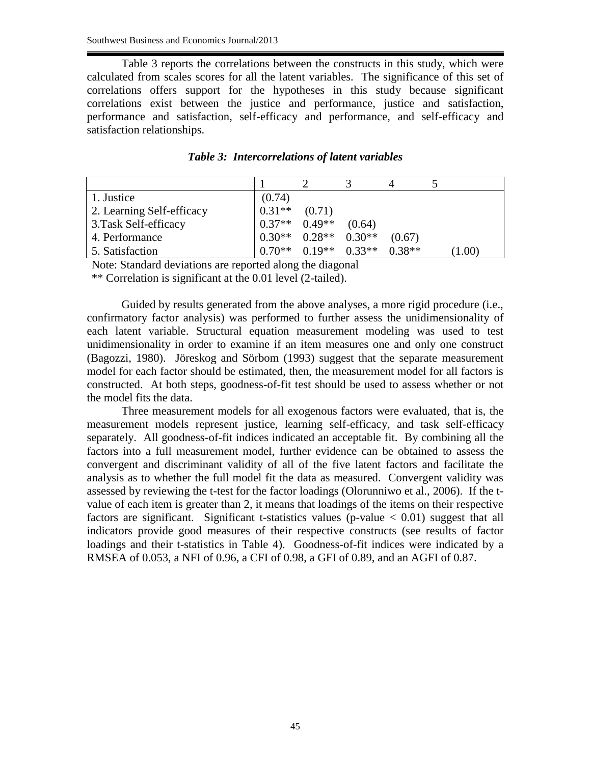Table 3 reports the correlations between the constructs in this study, which were calculated from scales scores for all the latent variables. The significance of this set of correlations offers support for the hypotheses in this study because significant correlations exist between the justice and performance, justice and satisfaction, performance and satisfaction, self-efficacy and performance, and self-efficacy and satisfaction relationships.

| 1. Justice                | (0.74)                                  |                   |          |          |        |
|---------------------------|-----------------------------------------|-------------------|----------|----------|--------|
| 2. Learning Self-efficacy | $0.31**$                                | (0.71)            |          |          |        |
| 3. Task Self-efficacy     | $0.37**$ 0.49**                         |                   | (0.64)   |          |        |
| 4. Performance            | $\vert 0.30^{**} \quad 0.28^{**} \vert$ |                   | $0.30**$ | (0.67)   |        |
| 5. Satisfaction           | $0.70**$                                | $0.19**$ $0.33**$ |          | $0.38**$ | (1.00) |

*Table 3: Intercorrelations of latent variables*

Note: Standard deviations are reported along the diagonal

\*\* Correlation is significant at the 0.01 level (2-tailed).

Guided by results generated from the above analyses, a more rigid procedure (i.e., confirmatory factor analysis) was performed to further assess the unidimensionality of each latent variable. Structural equation measurement modeling was used to test unidimensionality in order to examine if an item measures one and only one construct (Bagozzi, 1980). Jöreskog and Sörbom (1993) suggest that the separate measurement model for each factor should be estimated, then, the measurement model for all factors is constructed. At both steps, goodness-of-fit test should be used to assess whether or not the model fits the data.

Three measurement models for all exogenous factors were evaluated, that is, the measurement models represent justice, learning self-efficacy, and task self-efficacy separately. All goodness-of-fit indices indicated an acceptable fit. By combining all the factors into a full measurement model, further evidence can be obtained to assess the convergent and discriminant validity of all of the five latent factors and facilitate the analysis as to whether the full model fit the data as measured. Convergent validity was assessed by reviewing the t-test for the factor loadings (Olorunniwo et al., 2006). If the tvalue of each item is greater than 2, it means that loadings of the items on their respective factors are significant. Significant t-statistics values (p-value  $\langle 0.01 \rangle$ ) suggest that all indicators provide good measures of their respective constructs (see results of factor loadings and their t-statistics in Table 4). Goodness-of-fit indices were indicated by a RMSEA of 0.053, a NFI of 0.96, a CFI of 0.98, a GFI of 0.89, and an AGFI of 0.87.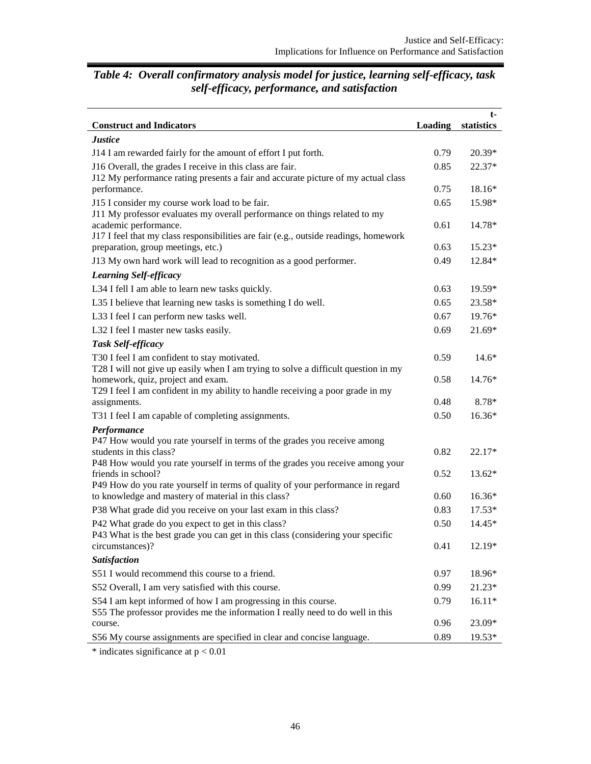| <b>Construct and Indicators</b>                                                                                                       | <b>Loading</b> | t-<br>statistics |
|---------------------------------------------------------------------------------------------------------------------------------------|----------------|------------------|
| <b>Justice</b>                                                                                                                        |                |                  |
| J14 I am rewarded fairly for the amount of effort I put forth.                                                                        | 0.79           | $20.39*$         |
| J16 Overall, the grades I receive in this class are fair.                                                                             | 0.85           | 22.37*           |
| J12 My performance rating presents a fair and accurate picture of my actual class                                                     |                |                  |
| performance.                                                                                                                          | 0.75           | 18.16*           |
| J15 I consider my course work load to be fair.                                                                                        | 0.65           | 15.98*           |
| J11 My professor evaluates my overall performance on things related to my                                                             |                |                  |
| academic performance.<br>J17 I feel that my class responsibilities are fair (e.g., outside readings, homework                         | 0.61           | 14.78*           |
| preparation, group meetings, etc.)                                                                                                    | 0.63           | $15.23*$         |
| J13 My own hard work will lead to recognition as a good performer.                                                                    | 0.49           | 12.84*           |
| <b>Learning Self-efficacy</b>                                                                                                         |                |                  |
| L34 I fell I am able to learn new tasks quickly.                                                                                      | 0.63           | 19.59*           |
| L35 I believe that learning new tasks is something I do well.                                                                         | 0.65           | 23.58*           |
| L33 I feel I can perform new tasks well.                                                                                              | 0.67           | 19.76*           |
| L32 I feel I master new tasks easily.                                                                                                 | 0.69           | $21.69*$         |
| <b>Task Self-efficacy</b>                                                                                                             |                |                  |
| T30 I feel I am confident to stay motivated.                                                                                          | 0.59           | $14.6*$          |
| T28 I will not give up easily when I am trying to solve a difficult question in my                                                    |                |                  |
| homework, quiz, project and exam.                                                                                                     | 0.58           | 14.76*           |
| T29 I feel I am confident in my ability to handle receiving a poor grade in my<br>assignments.                                        | 0.48           | 8.78*            |
| T31 I feel I am capable of completing assignments.                                                                                    | 0.50           | 16.36*           |
| Performance                                                                                                                           |                |                  |
| P47 How would you rate yourself in terms of the grades you receive among                                                              |                |                  |
| students in this class?                                                                                                               | 0.82           | 22.17*           |
| P48 How would you rate yourself in terms of the grades you receive among your                                                         |                |                  |
| friends in school?                                                                                                                    | 0.52           | 13.62*           |
| P49 How do you rate yourself in terms of quality of your performance in regard<br>to knowledge and mastery of material in this class? | 0.60           | 16.36*           |
| P38 What grade did you receive on your last exam in this class?                                                                       | 0.83           | $17.53*$         |
| P42 What grade do you expect to get in this class?                                                                                    | 0.50           | 14.45*           |
| P43 What is the best grade you can get in this class (considering your specific                                                       |                |                  |
| circumstances)?                                                                                                                       | 0.41           | 12.19*           |
| Satisfaction                                                                                                                          |                |                  |
| S51 I would recommend this course to a friend.                                                                                        | 0.97           | 18.96*           |
| S52 Overall, I am very satisfied with this course.                                                                                    | 0.99           | 21.23*           |
| S54 I am kept informed of how I am progressing in this course.                                                                        | 0.79           | $16.11*$         |
| S55 The professor provides me the information I really need to do well in this                                                        |                |                  |
| course.                                                                                                                               | 0.96           | 23.09*           |
| S56 My course assignments are specified in clear and concise language.                                                                | 0.89           | 19.53*           |

# *Table 4: Overall confirmatory analysis model for justice, learning self-efficacy, task self-efficacy, performance, and satisfaction*

 $*$  indicates significance at  $p < 0.01$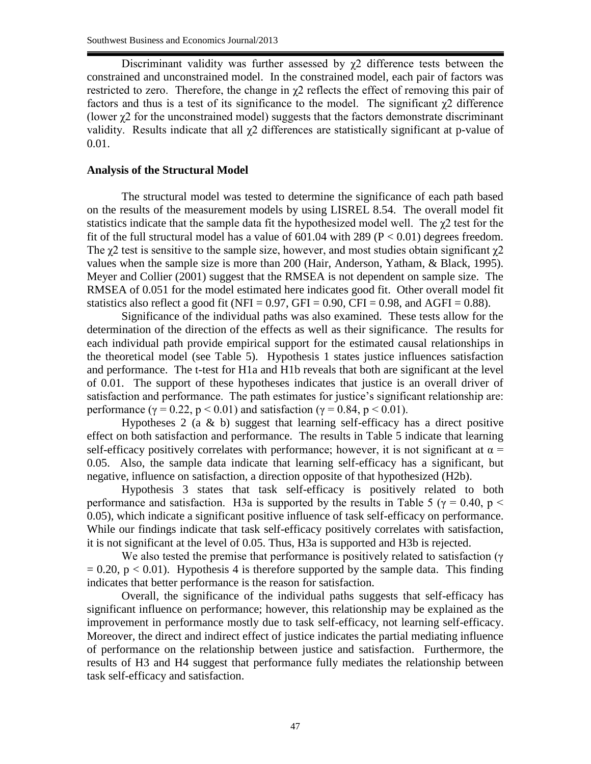Discriminant validity was further assessed by  $\chi$ 2 difference tests between the constrained and unconstrained model. In the constrained model, each pair of factors was restricted to zero. Therefore, the change in  $\gamma$ 2 reflects the effect of removing this pair of factors and thus is a test of its significance to the model. The significant  $\gamma$ 2 difference (lower χ2 for the unconstrained model) suggests that the factors demonstrate discriminant validity. Results indicate that all  $\chi$ 2 differences are statistically significant at p-value of 0.01.

## **Analysis of the Structural Model**

The structural model was tested to determine the significance of each path based on the results of the measurement models by using LISREL 8.54. The overall model fit statistics indicate that the sample data fit the hypothesized model well. The χ2 test for the fit of the full structural model has a value of  $601.04$  with 289 ( $P < 0.01$ ) degrees freedom. The  $\gamma$ 2 test is sensitive to the sample size, however, and most studies obtain significant  $\gamma$ 2 values when the sample size is more than 200 (Hair, Anderson, Yatham, & Black, 1995). Meyer and Collier (2001) suggest that the RMSEA is not dependent on sample size. The RMSEA of 0.051 for the model estimated here indicates good fit. Other overall model fit statistics also reflect a good fit (NFI = 0.97, GFI = 0.90, CFI = 0.98, and AGFI = 0.88).

Significance of the individual paths was also examined. These tests allow for the determination of the direction of the effects as well as their significance. The results for each individual path provide empirical support for the estimated causal relationships in the theoretical model (see Table 5). Hypothesis 1 states justice influences satisfaction and performance. The t-test for H1a and H1b reveals that both are significant at the level of 0.01. The support of these hypotheses indicates that justice is an overall driver of satisfaction and performance. The path estimates for justice's significant relationship are: performance ( $\gamma = 0.22$ , p < 0.01) and satisfaction ( $\gamma = 0.84$ , p < 0.01).

Hypotheses 2 (a  $\&$  b) suggest that learning self-efficacy has a direct positive effect on both satisfaction and performance. The results in Table 5 indicate that learning self-efficacy positively correlates with performance; however, it is not significant at  $\alpha$  = 0.05. Also, the sample data indicate that learning self-efficacy has a significant, but negative, influence on satisfaction, a direction opposite of that hypothesized (H2b).

Hypothesis 3 states that task self-efficacy is positively related to both performance and satisfaction. H3a is supported by the results in Table 5 ( $\gamma$  = 0.40, p < 0.05), which indicate a significant positive influence of task self-efficacy on performance. While our findings indicate that task self-efficacy positively correlates with satisfaction, it is not significant at the level of 0.05. Thus, H3a is supported and H3b is rejected.

We also tested the premise that performance is positively related to satisfaction ( $\gamma$ )  $= 0.20$ ,  $p < 0.01$ ). Hypothesis 4 is therefore supported by the sample data. This finding indicates that better performance is the reason for satisfaction.

Overall, the significance of the individual paths suggests that self-efficacy has significant influence on performance; however, this relationship may be explained as the improvement in performance mostly due to task self-efficacy, not learning self-efficacy. Moreover, the direct and indirect effect of justice indicates the partial mediating influence of performance on the relationship between justice and satisfaction. Furthermore, the results of H3 and H4 suggest that performance fully mediates the relationship between task self-efficacy and satisfaction.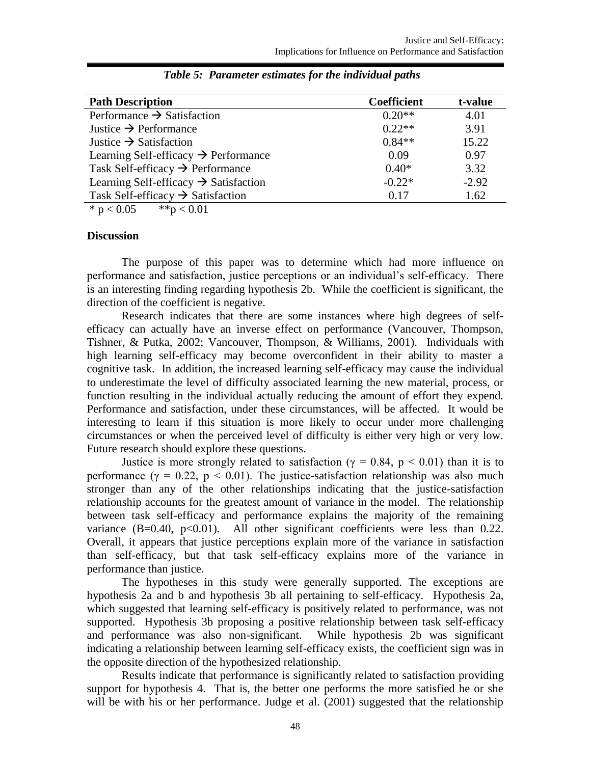| <b>Path Description</b>                           | <b>Coefficient</b> | t-value |
|---------------------------------------------------|--------------------|---------|
| Performance $\rightarrow$ Satisfaction            | $0.20**$           | 4.01    |
| Justice $\rightarrow$ Performance                 | $0.22**$           | 3.91    |
| Justice $\rightarrow$ Satisfaction                | $0.84**$           | 15.22   |
| Learning Self-efficacy $\rightarrow$ Performance  | 0.09               | 0.97    |
| Task Self-efficacy $\rightarrow$ Performance      | $0.40*$            | 3.32    |
| Learning Self-efficacy $\rightarrow$ Satisfaction | $-0.22*$           | $-2.92$ |
| Task Self-efficacy $\rightarrow$ Satisfaction     | 0.17               | 1.62    |

|  | Table 5: Parameter estimates for the individual paths |  |  |  |  |
|--|-------------------------------------------------------|--|--|--|--|
|--|-------------------------------------------------------|--|--|--|--|

\*  $p < 0.05$  \*\*  $p < 0.01$ 

#### **Discussion**

The purpose of this paper was to determine which had more influence on performance and satisfaction, justice perceptions or an individual's self-efficacy. There is an interesting finding regarding hypothesis 2b. While the coefficient is significant, the direction of the coefficient is negative.

Research indicates that there are some instances where high degrees of selfefficacy can actually have an inverse effect on performance (Vancouver, Thompson, Tishner, & Putka, 2002; Vancouver, Thompson, & Williams, 2001). Individuals with high learning self-efficacy may become overconfident in their ability to master a cognitive task. In addition, the increased learning self-efficacy may cause the individual to underestimate the level of difficulty associated learning the new material, process, or function resulting in the individual actually reducing the amount of effort they expend. Performance and satisfaction, under these circumstances, will be affected. It would be interesting to learn if this situation is more likely to occur under more challenging circumstances or when the perceived level of difficulty is either very high or very low. Future research should explore these questions.

Justice is more strongly related to satisfaction ( $\gamma = 0.84$ ,  $p < 0.01$ ) than it is to performance ( $\gamma = 0.22$ ,  $p < 0.01$ ). The justice-satisfaction relationship was also much stronger than any of the other relationships indicating that the justice-satisfaction relationship accounts for the greatest amount of variance in the model. The relationship between task self-efficacy and performance explains the majority of the remaining variance  $(B=0.40, p<0.01)$ . All other significant coefficients were less than 0.22. Overall, it appears that justice perceptions explain more of the variance in satisfaction than self-efficacy, but that task self-efficacy explains more of the variance in performance than justice.

The hypotheses in this study were generally supported. The exceptions are hypothesis 2a and b and hypothesis 3b all pertaining to self-efficacy. Hypothesis 2a, which suggested that learning self-efficacy is positively related to performance, was not supported. Hypothesis 3b proposing a positive relationship between task self-efficacy and performance was also non-significant. While hypothesis 2b was significant indicating a relationship between learning self-efficacy exists, the coefficient sign was in the opposite direction of the hypothesized relationship.

Results indicate that performance is significantly related to satisfaction providing support for hypothesis 4. That is, the better one performs the more satisfied he or she will be with his or her performance. Judge et al. (2001) suggested that the relationship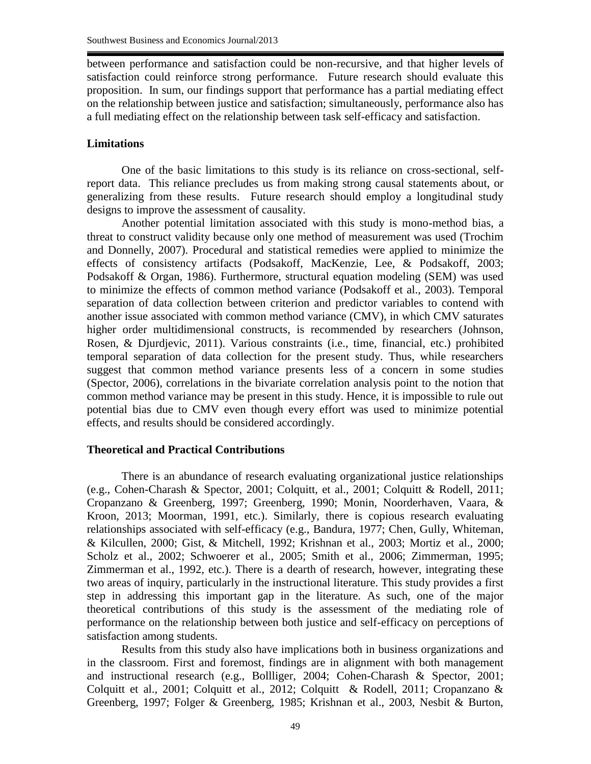between performance and satisfaction could be non-recursive, and that higher levels of satisfaction could reinforce strong performance. Future research should evaluate this proposition. In sum, our findings support that performance has a partial mediating effect on the relationship between justice and satisfaction; simultaneously, performance also has a full mediating effect on the relationship between task self-efficacy and satisfaction.

# **Limitations**

One of the basic limitations to this study is its reliance on cross-sectional, selfreport data. This reliance precludes us from making strong causal statements about, or generalizing from these results. Future research should employ a longitudinal study designs to improve the assessment of causality.

Another potential limitation associated with this study is mono-method bias, a threat to construct validity because only one method of measurement was used (Trochim and Donnelly, 2007). Procedural and statistical remedies were applied to minimize the effects of consistency artifacts (Podsakoff, MacKenzie, Lee, & Podsakoff, 2003; Podsakoff & Organ, 1986). Furthermore, structural equation modeling (SEM) was used to minimize the effects of common method variance (Podsakoff et al., 2003). Temporal separation of data collection between criterion and predictor variables to contend with another issue associated with common method variance (CMV), in which CMV saturates higher order multidimensional constructs, is recommended by researchers (Johnson, Rosen, & Djurdjevic, 2011). Various constraints (i.e., time, financial, etc.) prohibited temporal separation of data collection for the present study. Thus, while researchers suggest that common method variance presents less of a concern in some studies (Spector, 2006), correlations in the bivariate correlation analysis point to the notion that common method variance may be present in this study. Hence, it is impossible to rule out potential bias due to CMV even though every effort was used to minimize potential effects, and results should be considered accordingly.

## **Theoretical and Practical Contributions**

There is an abundance of research evaluating organizational justice relationships (e.g., Cohen-Charash & Spector, 2001; Colquitt, et al., 2001; Colquitt & Rodell, 2011; Cropanzano & Greenberg, 1997; Greenberg, 1990; Monin, Noorderhaven, Vaara, & Kroon, 2013; Moorman, 1991, etc.). Similarly, there is copious research evaluating relationships associated with self-efficacy (e.g., Bandura, 1977; Chen, Gully, Whiteman, & Kilcullen, 2000; Gist, & Mitchell, 1992; Krishnan et al., 2003; Mortiz et al., 2000; Scholz et al., 2002; Schwoerer et al., 2005; Smith et al., 2006; Zimmerman, 1995; Zimmerman et al., 1992, etc.). There is a dearth of research, however, integrating these two areas of inquiry, particularly in the instructional literature. This study provides a first step in addressing this important gap in the literature. As such, one of the major theoretical contributions of this study is the assessment of the mediating role of performance on the relationship between both justice and self-efficacy on perceptions of satisfaction among students.

Results from this study also have implications both in business organizations and in the classroom. First and foremost, findings are in alignment with both management and instructional research (e.g., Bollliger, 2004; Cohen-Charash & Spector, 2001; Colquitt et al., 2001; Colquitt et al., 2012; Colquitt & Rodell, 2011; Cropanzano & Greenberg, 1997; Folger & Greenberg, 1985; Krishnan et al., 2003, Nesbit & Burton,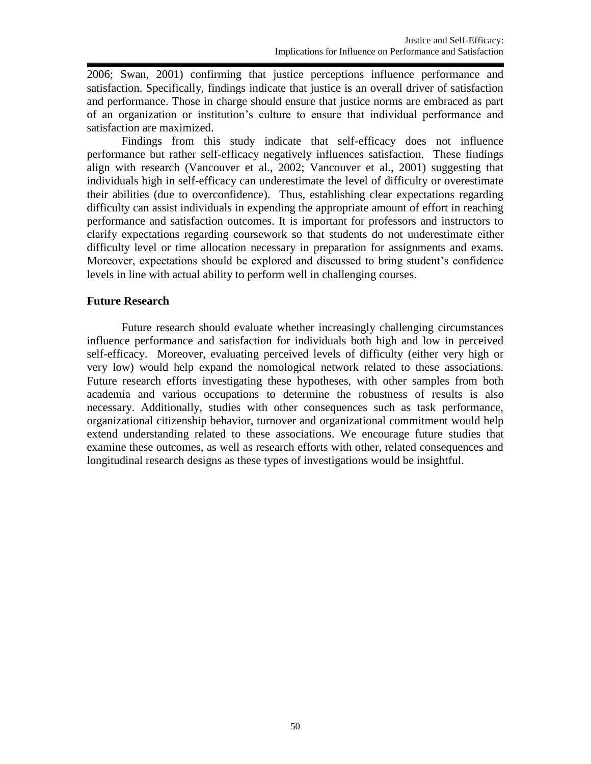2006; Swan, 2001) confirming that justice perceptions influence performance and satisfaction. Specifically, findings indicate that justice is an overall driver of satisfaction and performance. Those in charge should ensure that justice norms are embraced as part of an organization or institution's culture to ensure that individual performance and satisfaction are maximized.

Findings from this study indicate that self-efficacy does not influence performance but rather self-efficacy negatively influences satisfaction. These findings align with research (Vancouver et al., 2002; Vancouver et al., 2001) suggesting that individuals high in self-efficacy can underestimate the level of difficulty or overestimate their abilities (due to overconfidence). Thus, establishing clear expectations regarding difficulty can assist individuals in expending the appropriate amount of effort in reaching performance and satisfaction outcomes. It is important for professors and instructors to clarify expectations regarding coursework so that students do not underestimate either difficulty level or time allocation necessary in preparation for assignments and exams. Moreover, expectations should be explored and discussed to bring student's confidence levels in line with actual ability to perform well in challenging courses.

## **Future Research**

Future research should evaluate whether increasingly challenging circumstances influence performance and satisfaction for individuals both high and low in perceived self-efficacy. Moreover, evaluating perceived levels of difficulty (either very high or very low) would help expand the nomological network related to these associations. Future research efforts investigating these hypotheses, with other samples from both academia and various occupations to determine the robustness of results is also necessary. Additionally, studies with other consequences such as task performance, organizational citizenship behavior, turnover and organizational commitment would help extend understanding related to these associations. We encourage future studies that examine these outcomes, as well as research efforts with other, related consequences and longitudinal research designs as these types of investigations would be insightful.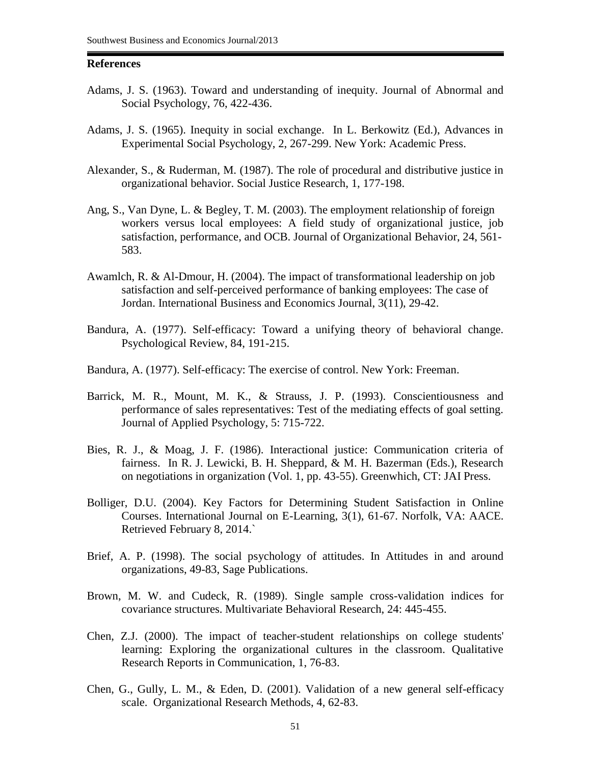#### **References**

- Adams, J. S. (1963). Toward and understanding of inequity. Journal of Abnormal and Social Psychology, 76, 422-436.
- Adams, J. S. (1965). Inequity in social exchange. In L. Berkowitz (Ed.), Advances in Experimental Social Psychology, 2, 267-299. New York: Academic Press.
- Alexander, S., & Ruderman, M. (1987). The role of procedural and distributive justice in organizational behavior. Social Justice Research, 1, 177-198.
- Ang, S., Van Dyne, L. & Begley, T. M. (2003). The employment relationship of foreign workers versus local employees: A field study of organizational justice, job satisfaction, performance, and OCB. Journal of Organizational Behavior, 24, 561- 583.
- Awamlch, R. & Al-Dmour, H. (2004). The impact of transformational leadership on job satisfaction and self-perceived performance of banking employees: The case of Jordan. International Business and Economics Journal, 3(11), 29-42.
- Bandura, A. (1977). Self-efficacy: Toward a unifying theory of behavioral change. Psychological Review, 84, 191-215.
- Bandura, A. (1977). Self-efficacy: The exercise of control. New York: Freeman.
- Barrick, M. R., Mount, M. K., & Strauss, J. P. (1993). Conscientiousness and performance of sales representatives: Test of the mediating effects of goal setting. Journal of Applied Psychology, 5: 715-722.
- Bies, R. J., & Moag, J. F. (1986). Interactional justice: Communication criteria of fairness. In R. J. Lewicki, B. H. Sheppard, & M. H. Bazerman (Eds.), Research on negotiations in organization (Vol. 1, pp. 43-55). Greenwhich, CT: JAI Press.
- Bolliger, D.U. (2004). Key Factors for Determining Student Satisfaction in Online Courses. International Journal on E-Learning, 3(1), 61-67. Norfolk, VA: AACE. Retrieved February 8, 2014.`
- Brief, A. P. (1998). The social psychology of attitudes. In Attitudes in and around organizations, 49-83, Sage Publications.
- Brown, M. W. and Cudeck, R. (1989). Single sample cross-validation indices for covariance structures. Multivariate Behavioral Research, 24: 445-455.
- Chen, Z.J. (2000). The impact of teacher-student relationships on college students' learning: Exploring the organizational cultures in the classroom. Qualitative Research Reports in Communication, 1, 76-83.
- Chen, G., Gully, L. M., & Eden, D. (2001). Validation of a new general self-efficacy scale. Organizational Research Methods, 4, 62-83.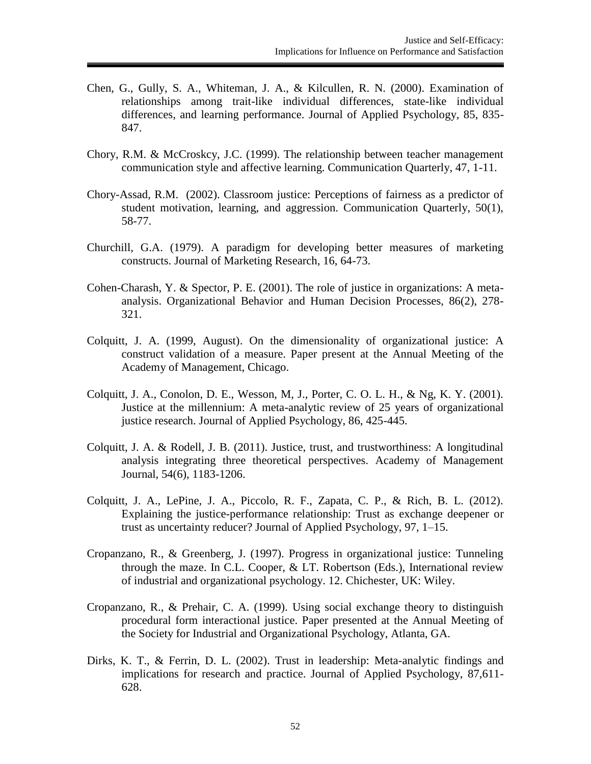- Chen, G., Gully, S. A., Whiteman, J. A., & Kilcullen, R. N. (2000). Examination of relationships among trait-like individual differences, state-like individual differences, and learning performance. Journal of Applied Psychology, 85, 835- 847.
- Chory, R.M. & McCroskcy, J.C. (1999). The relationship between teacher management communication style and affective learning. Communication Quarterly, 47, 1-11.
- Chory-Assad, R.M. (2002). Classroom justice: Perceptions of fairness as a predictor of student motivation, learning, and aggression. Communication Quarterly, 50(1), 58-77.
- Churchill, G.A. (1979). A paradigm for developing better measures of marketing constructs. Journal of Marketing Research, 16, 64-73.
- Cohen-Charash, Y. & Spector, P. E. (2001). The role of justice in organizations: A metaanalysis. Organizational Behavior and Human Decision Processes, 86(2), 278- 321.
- Colquitt, J. A. (1999, August). On the dimensionality of organizational justice: A construct validation of a measure. Paper present at the Annual Meeting of the Academy of Management, Chicago.
- Colquitt, J. A., Conolon, D. E., Wesson, M, J., Porter, C. O. L. H., & Ng, K. Y. (2001). Justice at the millennium: A meta-analytic review of 25 years of organizational justice research. Journal of Applied Psychology, 86, 425-445.
- Colquitt, J. A. & Rodell, J. B. (2011). Justice, trust, and trustworthiness: A longitudinal analysis integrating three theoretical perspectives. Academy of Management Journal, 54(6), 1183-1206.
- Colquitt, J. A., LePine, J. A., Piccolo, R. F., Zapata, C. P., & Rich, B. L. (2012). Explaining the justice-performance relationship: Trust as exchange deepener or trust as uncertainty reducer? Journal of Applied Psychology, 97, 1–15.
- Cropanzano, R., & Greenberg, J. (1997). Progress in organizational justice: Tunneling through the maze. In C.L. Cooper, & LT. Robertson (Eds.), International review of industrial and organizational psychology. 12. Chichester, UK: Wiley.
- Cropanzano, R., & Prehair, C. A. (1999). Using social exchange theory to distinguish procedural form interactional justice. Paper presented at the Annual Meeting of the Society for Industrial and Organizational Psychology, Atlanta, GA.
- Dirks, K. T., & Ferrin, D. L. (2002). Trust in leadership: Meta-analytic findings and implications for research and practice. Journal of Applied Psychology, 87,611- 628.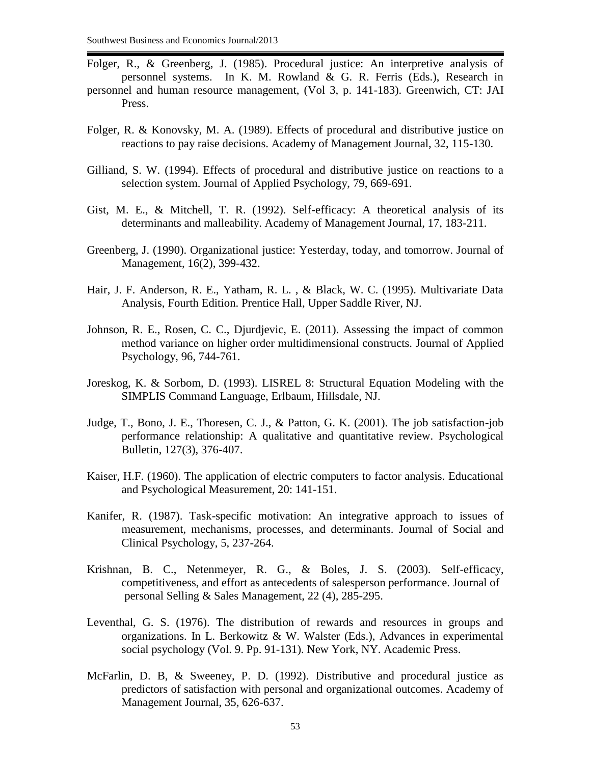- Folger, R., & Greenberg, J. (1985). Procedural justice: An interpretive analysis of personnel systems. In K. M. Rowland & G. R. Ferris (Eds.), Research in personnel and human resource management, (Vol 3, p. 141-183). Greenwich, CT: JAI Press.
- Folger, R. & Konovsky, M. A. (1989). Effects of procedural and distributive justice on reactions to pay raise decisions. Academy of Management Journal, 32, 115-130.
- Gilliand, S. W. (1994). Effects of procedural and distributive justice on reactions to a selection system. Journal of Applied Psychology, 79, 669-691.
- Gist, M. E., & Mitchell, T. R. (1992). Self-efficacy: A theoretical analysis of its determinants and malleability. Academy of Management Journal, 17, 183-211.
- Greenberg, J. (1990). Organizational justice: Yesterday, today, and tomorrow. Journal of Management, 16(2), 399-432.
- Hair, J. F. Anderson, R. E., Yatham, R. L. , & Black, W. C. (1995). Multivariate Data Analysis, Fourth Edition. Prentice Hall, Upper Saddle River, NJ.
- Johnson, R. E., Rosen, C. C., Djurdjevic, E. (2011). Assessing the impact of common method variance on higher order multidimensional constructs. Journal of Applied Psychology, 96, 744-761.
- Joreskog, K. & Sorbom, D. (1993). LISREL 8: Structural Equation Modeling with the SIMPLIS Command Language, Erlbaum, Hillsdale, NJ.
- Judge, T., Bono, J. E., Thoresen, C. J., & Patton, G. K. (2001). The job satisfaction-job performance relationship: A qualitative and quantitative review. Psychological Bulletin, 127(3), 376-407.
- Kaiser, H.F. (1960). The application of electric computers to factor analysis. Educational and Psychological Measurement, 20: 141-151.
- Kanifer, R. (1987). Task-specific motivation: An integrative approach to issues of measurement, mechanisms, processes, and determinants. Journal of Social and Clinical Psychology, 5, 237-264.
- Krishnan, B. C., Netenmeyer, R. G., & Boles, J. S. (2003). Self-efficacy, competitiveness, and effort as antecedents of salesperson performance. Journal of personal Selling & Sales Management, 22 (4), 285-295.
- Leventhal, G. S. (1976). The distribution of rewards and resources in groups and organizations. In L. Berkowitz & W. Walster (Eds.), Advances in experimental social psychology (Vol. 9. Pp. 91-131). New York, NY. Academic Press.
- McFarlin, D. B, & Sweeney, P. D. (1992). Distributive and procedural justice as predictors of satisfaction with personal and organizational outcomes. Academy of Management Journal, 35, 626-637.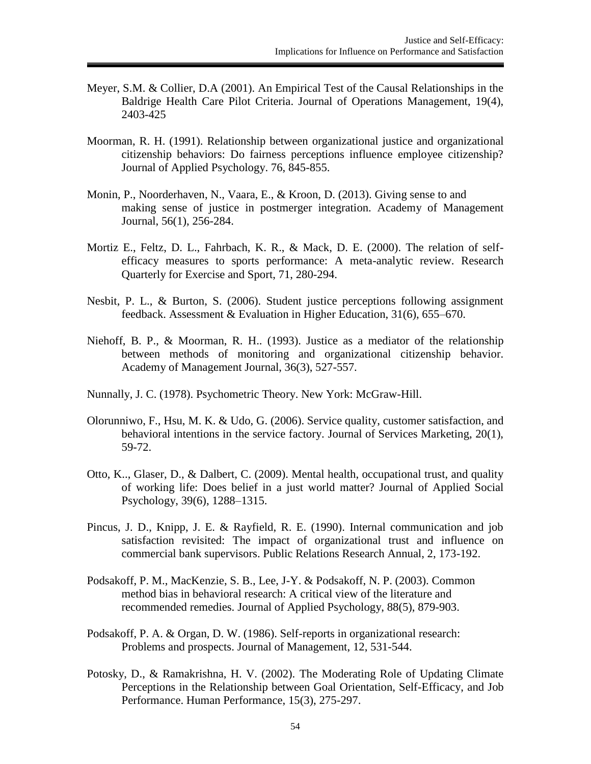- Meyer, S.M. & Collier, D.A (2001). An Empirical Test of the Causal Relationships in the Baldrige Health Care Pilot Criteria. Journal of Operations Management, 19(4), 2403-425
- Moorman, R. H. (1991). Relationship between organizational justice and organizational citizenship behaviors: Do fairness perceptions influence employee citizenship? Journal of Applied Psychology. 76, 845-855.
- Monin, P., Noorderhaven, N., Vaara, E., & Kroon, D. (2013). Giving sense to and making sense of justice in postmerger integration. Academy of Management Journal, 56(1), 256-284.
- Mortiz E., Feltz, D. L., Fahrbach, K. R., & Mack, D. E. (2000). The relation of selfefficacy measures to sports performance: A meta-analytic review. Research Quarterly for Exercise and Sport, 71, 280-294.
- Nesbit, P. L., & Burton, S. (2006). Student justice perceptions following assignment feedback. Assessment & Evaluation in Higher Education, 31(6), 655–670.
- Niehoff, B. P., & Moorman, R. H.. (1993). Justice as a mediator of the relationship between methods of monitoring and organizational citizenship behavior. Academy of Management Journal, 36(3), 527-557.
- Nunnally, J. C. (1978). Psychometric Theory. New York: McGraw-Hill.
- Olorunniwo, F., Hsu, M. K. & Udo, G. (2006). Service quality, customer satisfaction, and behavioral intentions in the service factory. Journal of Services Marketing, 20(1), 59-72.
- Otto, K.., Glaser, D., & Dalbert, C. (2009). Mental health, occupational trust, and quality of working life: Does belief in a just world matter? Journal of Applied Social Psychology, 39(6), 1288–1315.
- Pincus, J. D., Knipp, J. E. & Rayfield, R. E. (1990). Internal communication and job satisfaction revisited: The impact of organizational trust and influence on commercial bank supervisors. Public Relations Research Annual, 2, 173-192.
- Podsakoff, P. M., MacKenzie, S. B., Lee, J-Y. & Podsakoff, N. P. (2003). Common method bias in behavioral research: A critical view of the literature and recommended remedies. Journal of Applied Psychology, 88(5), 879-903.
- Podsakoff, P. A. & Organ, D. W. (1986). Self-reports in organizational research: Problems and prospects. Journal of Management, 12, 531-544.
- Potosky, D., & Ramakrishna, H. V. (2002). The Moderating Role of Updating Climate Perceptions in the Relationship between Goal Orientation, Self-Efficacy, and Job Performance. Human Performance, 15(3), 275-297.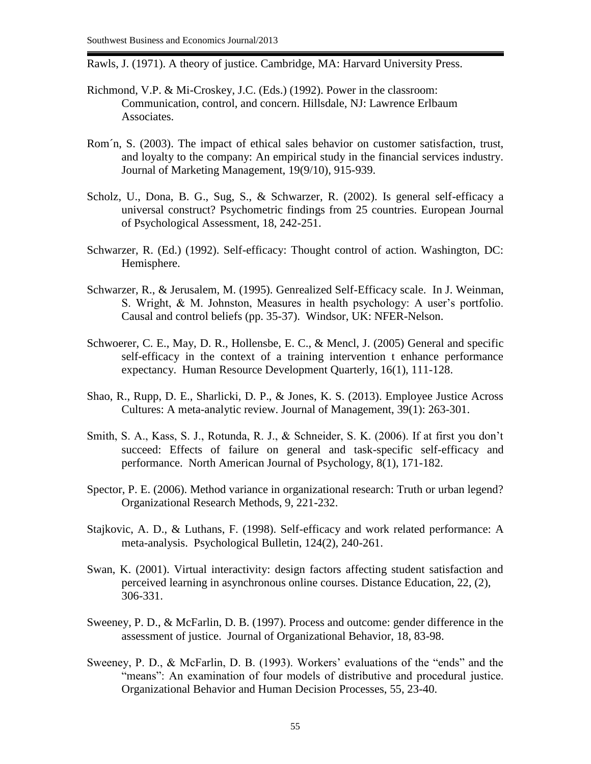Rawls, J. (1971). A theory of justice. Cambridge, MA: Harvard University Press.

- Richmond, V.P. & Mi-Croskey, J.C. (Eds.) (1992). Power in the classroom: Communication, control, and concern. Hillsdale, NJ: Lawrence Erlbaum Associates.
- Rom´n, S. (2003). The impact of ethical sales behavior on customer satisfaction, trust, and loyalty to the company: An empirical study in the financial services industry. Journal of Marketing Management, 19(9/10), 915-939.
- Scholz, U., Dona, B. G., Sug, S., & Schwarzer, R. (2002). Is general self-efficacy a universal construct? Psychometric findings from 25 countries. European Journal of Psychological Assessment, 18, 242-251.
- Schwarzer, R. (Ed.) (1992). Self-efficacy: Thought control of action. Washington, DC: Hemisphere.
- Schwarzer, R., & Jerusalem, M. (1995). Genrealized Self-Efficacy scale. In J. Weinman, S. Wright, & M. Johnston, Measures in health psychology: A user's portfolio. Causal and control beliefs (pp. 35-37). Windsor, UK: NFER-Nelson.
- Schwoerer, C. E., May, D. R., Hollensbe, E. C., & Mencl, J. (2005) General and specific self-efficacy in the context of a training intervention t enhance performance expectancy. Human Resource Development Quarterly, 16(1), 111-128.
- Shao, R., Rupp, D. E., Sharlicki, D. P., & Jones, K. S. (2013). Employee Justice Across Cultures: A meta-analytic review. Journal of Management, 39(1): 263-301.
- Smith, S. A., Kass, S. J., Rotunda, R. J., & Schneider, S. K. (2006). If at first you don't succeed: Effects of failure on general and task-specific self-efficacy and performance. North American Journal of Psychology, 8(1), 171-182.
- Spector, P. E. (2006). Method variance in organizational research: Truth or urban legend? Organizational Research Methods, 9, 221-232.
- Stajkovic, A. D., & Luthans, F. (1998). Self-efficacy and work related performance: A meta-analysis. Psychological Bulletin, 124(2), 240-261.
- Swan, K. (2001). Virtual interactivity: design factors affecting student satisfaction and perceived learning in asynchronous online courses. Distance Education, 22, (2), 306-331.
- Sweeney, P. D., & McFarlin, D. B. (1997). Process and outcome: gender difference in the assessment of justice. Journal of Organizational Behavior, 18, 83-98.
- Sweeney, P. D., & McFarlin, D. B. (1993). Workers' evaluations of the "ends" and the "means": An examination of four models of distributive and procedural justice. Organizational Behavior and Human Decision Processes, 55, 23-40.